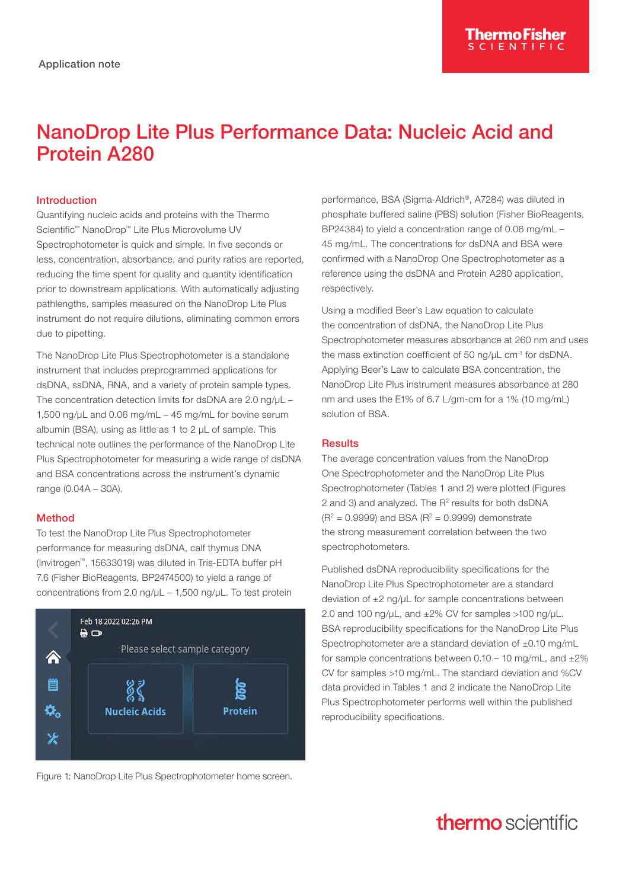# NanoDrop Lite Plus Performance Data: Nucleic Acid and Protein A280

### Introduction

Quantifying nucleic acids and proteins with the Thermo Scientific™ NanoDrop™ Lite Plus Microvolume UV Spectrophotometer is quick and simple. In five seconds or less, concentration, absorbance, and purity ratios are reported, reducing the time spent for quality and quantity identification prior to downstream applications. With automatically adjusting pathlengths, samples measured on the NanoDrop Lite Plus instrument do not require dilutions, eliminating common errors due to pipetting.

The NanoDrop Lite Plus Spectrophotometer is a standalone instrument that includes preprogrammed applications for dsDNA, ssDNA, RNA, and a variety of protein sample types. The concentration detection limits for dsDNA are 2.0 ng/uL -1,500 ng/µL and 0.06 mg/mL – 45 mg/mL for bovine serum albumin (BSA), using as little as 1 to 2 µL of sample. This technical note outlines the performance of the NanoDrop Lite Plus Spectrophotometer for measuring a wide range of dsDNA and BSA concentrations across the instrument's dynamic range (0.04A – 30A).

#### Method

To test the NanoDrop Lite Plus Spectrophotometer performance for measuring dsDNA, calf thymus DNA (Invitrogen™, 15633019) was diluted in Tris-EDTA buffer pH 7.6 (Fisher BioReagents, BP2474500) to yield a range of concentrations from 2.0 ng/ $\mu$ L – 1,500 ng/ $\mu$ L. To test protein



Figure 1: NanoDrop Lite Plus Spectrophotometer home screen.

performance, BSA (Sigma-Aldrich®, A7284) was diluted in phosphate buffered saline (PBS) solution (Fisher BioReagents, BP24384) to yield a concentration range of 0.06 mg/mL – 45 mg/mL. The concentrations for dsDNA and BSA were confirmed with a NanoDrop One Spectrophotometer as a reference using the dsDNA and Protein A280 application, respectively.

Using a modified Beer's Law equation to calculate the concentration of dsDNA, the NanoDrop Lite Plus Spectrophotometer measures absorbance at 260 nm and uses the mass extinction coefficient of 50 ng/µL cm-1 for dsDNA. Applying Beer's Law to calculate BSA concentration, the NanoDrop Lite Plus instrument measures absorbance at 280 nm and uses the E1% of 6.7 L/gm-cm for a 1% (10 mg/mL) solution of BSA.

### **Results**

The average concentration values from the NanoDrop One Spectrophotometer and the NanoDrop Lite Plus Spectrophotometer (Tables 1 and 2) were plotted (Figures 2 and 3) and analyzed. The  $R<sup>2</sup>$  results for both dsDNA  $(R^2 = 0.9999)$  and BSA  $(R^2 = 0.9999)$  demonstrate the strong measurement correlation between the two spectrophotometers.

Published dsDNA reproducibility specifications for the NanoDrop Lite Plus Spectrophotometer are a standard deviation of  $\pm 2$  ng/ $\mu$ L for sample concentrations between 2.0 and 100 ng/ $\mu$ L, and  $\pm 2\%$  CV for samples >100 ng/ $\mu$ L. BSA reproducibility specifications for the NanoDrop Lite Plus Spectrophotometer are a standard deviation of ±0.10 mg/mL for sample concentrations between  $0.10 - 10$  mg/mL, and  $\pm 2\%$ CV for samples >10 mg/mL. The standard deviation and %CV data provided in Tables 1 and 2 indicate the NanoDrop Lite Plus Spectrophotometer performs well within the published reproducibility specifications.

## **thermo** scientific